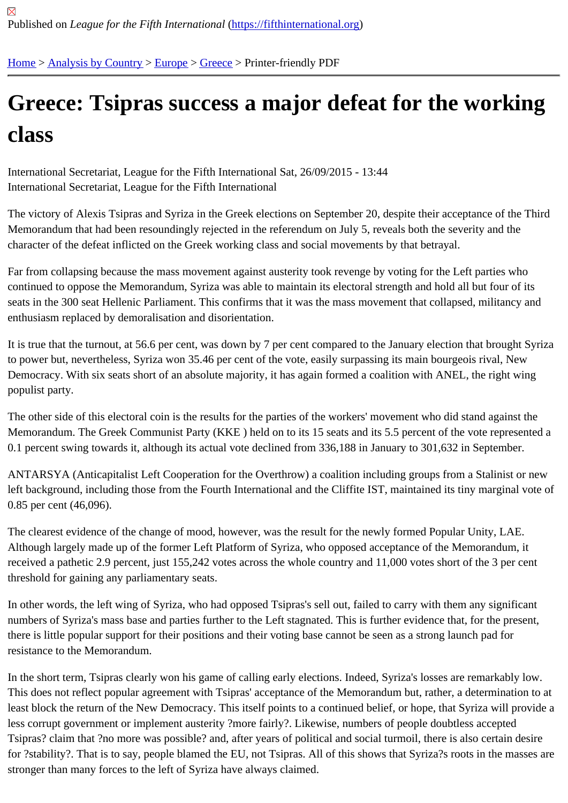## [Gre](https://fifthinternational.org/)[ece: Tsipr](https://fifthinternational.org/category/1)[as s](https://fifthinternational.org/category/1/128)[ucce](https://fifthinternational.org/category/1/128/147)ss a major defeat for the working class

International Secretariat, League for the Fifth International Sat, 26/09/2015 - 13:44 International Secretariat, League for the Fifth International

The victory of Alexis Tsipras and Syriza in the Greek elections on September 20, despite their acceptance of the T Memorandum that had been resoundingly rejected in the referendum on July 5, reveals both the severity and the character of the defeat inflicted on the Greek working class and social movements by that betrayal.

Far from collapsing because the mass movement against austerity took revenge by voting for the Left parties who continued to oppose the Memorandum, Syriza was able to maintain its electoral strength and hold all but four of its seats in the 300 seat Hellenic Parliament. This confirms that it was the mass movement that collapsed, militancy a enthusiasm replaced by demoralisation and disorientation.

It is true that the turnout, at 56.6 per cent, was down by 7 per cent compared to the January election that brought S to power but, nevertheless, Syriza won 35.46 per cent of the vote, easily surpassing its main bourgeois rival, New Democracy. With six seats short of an absolute majority, it has again formed a coalition with ANEL, the right wing populist party.

The other side of this electoral coin is the results for the parties of the workers' movement who did stand against th Memorandum. The Greek Communist Party (KKE) held on to its 15 seats and its 5.5 percent of the vote represen 0.1 percent swing towards it, although its actual vote declined from 336,188 in January to 301,632 in September.

ANTARSYA (Anticapitalist Left Cooperation for the Overthrow) a coalition including groups from a Stalinist or new left background, including those from the Fourth International and the Cliffite IST, maintained its tiny marginal vote 0.85 per cent (46,096).

The clearest evidence of the change of mood, however, was the result for the newly formed Popular Unity, LAE. Although largely made up of the former Left Platform of Syriza, who opposed acceptance of the Memorandum, it received a pathetic 2.9 percent, just 155,242 votes across the whole country and 11,000 votes short of the 3 per c threshold for gaining any parliamentary seats.

In other words, the left wing of Syriza, who had opposed Tsipras's sell out, failed to carry with them any significant numbers of Syriza's mass base and parties further to the Left stagnated. This is further evidence that, for the prese there is little popular support for their positions and their voting base cannot be seen as a strong launch pad for resistance to the Memorandum.

In the short term, Tsipras clearly won his game of calling early elections. Indeed, Syriza's losses are remarkably lo This does not reflect popular agreement with Tsipras' acceptance of the Memorandum but, rather, a determination least block the return of the New Democracy. This itself points to a continued belief, or hope, that Syriza will provid less corrupt government or implement austerity ?more fairly?. Likewise, numbers of people doubtless accepted Tsipras? claim that ?no more was possible? and, after years of political and social turmoil, there is also certain des for ?stability?. That is to say, people blamed the EU, not Tsipras. All of this shows that Syriza?s roots in the masse stronger than many forces to the left of Syriza have always claimed.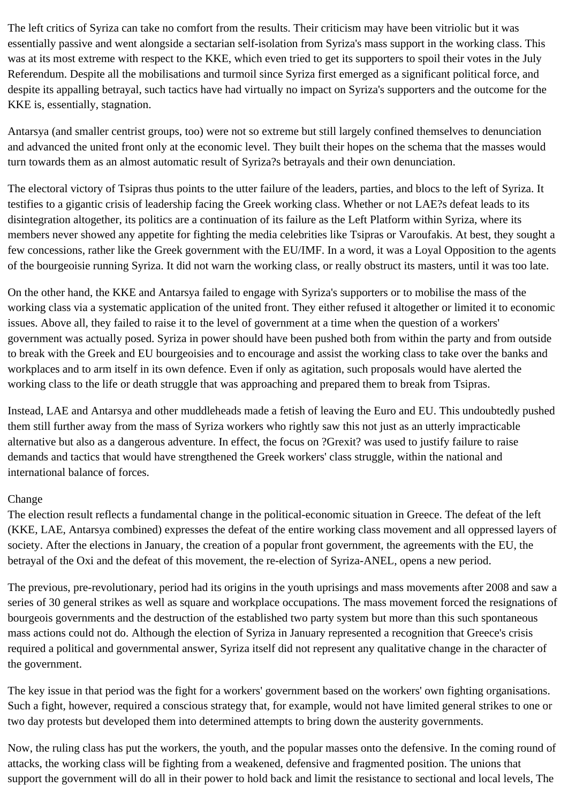The left critics of Syriza can take no comfort from the results. Their criticism may have been vitriolic but it was essentially passive and went alongside a sectarian self-isolation from Syriza's mass support in the working class. This was at its most extreme with respect to the KKE, which even tried to get its supporters to spoil their votes in the July Referendum. Despite all the mobilisations and turmoil since Syriza first emerged as a significant political force, and despite its appalling betrayal, such tactics have had virtually no impact on Syriza's supporters and the outcome for the KKE is, essentially, stagnation.

Antarsya (and smaller centrist groups, too) were not so extreme but still largely confined themselves to denunciation and advanced the united front only at the economic level. They built their hopes on the schema that the masses would turn towards them as an almost automatic result of Syriza?s betrayals and their own denunciation.

The electoral victory of Tsipras thus points to the utter failure of the leaders, parties, and blocs to the left of Syriza. It testifies to a gigantic crisis of leadership facing the Greek working class. Whether or not LAE?s defeat leads to its disintegration altogether, its politics are a continuation of its failure as the Left Platform within Syriza, where its members never showed any appetite for fighting the media celebrities like Tsipras or Varoufakis. At best, they sought a few concessions, rather like the Greek government with the EU/IMF. In a word, it was a Loyal Opposition to the agents of the bourgeoisie running Syriza. It did not warn the working class, or really obstruct its masters, until it was too late.

On the other hand, the KKE and Antarsya failed to engage with Syriza's supporters or to mobilise the mass of the working class via a systematic application of the united front. They either refused it altogether or limited it to economic issues. Above all, they failed to raise it to the level of government at a time when the question of a workers' government was actually posed. Syriza in power should have been pushed both from within the party and from outside to break with the Greek and EU bourgeoisies and to encourage and assist the working class to take over the banks and workplaces and to arm itself in its own defence. Even if only as agitation, such proposals would have alerted the working class to the life or death struggle that was approaching and prepared them to break from Tsipras.

Instead, LAE and Antarsya and other muddleheads made a fetish of leaving the Euro and EU. This undoubtedly pushed them still further away from the mass of Syriza workers who rightly saw this not just as an utterly impracticable alternative but also as a dangerous adventure. In effect, the focus on ?Grexit? was used to justify failure to raise demands and tactics that would have strengthened the Greek workers' class struggle, within the national and international balance of forces.

## Change

The election result reflects a fundamental change in the political-economic situation in Greece. The defeat of the left (KKE, LAE, Antarsya combined) expresses the defeat of the entire working class movement and all oppressed layers of society. After the elections in January, the creation of a popular front government, the agreements with the EU, the betrayal of the Oxi and the defeat of this movement, the re-election of Syriza-ANEL, opens a new period.

The previous, pre-revolutionary, period had its origins in the youth uprisings and mass movements after 2008 and saw a series of 30 general strikes as well as square and workplace occupations. The mass movement forced the resignations of bourgeois governments and the destruction of the established two party system but more than this such spontaneous mass actions could not do. Although the election of Syriza in January represented a recognition that Greece's crisis required a political and governmental answer, Syriza itself did not represent any qualitative change in the character of the government.

The key issue in that period was the fight for a workers' government based on the workers' own fighting organisations. Such a fight, however, required a conscious strategy that, for example, would not have limited general strikes to one or two day protests but developed them into determined attempts to bring down the austerity governments.

Now, the ruling class has put the workers, the youth, and the popular masses onto the defensive. In the coming round of attacks, the working class will be fighting from a weakened, defensive and fragmented position. The unions that support the government will do all in their power to hold back and limit the resistance to sectional and local levels, The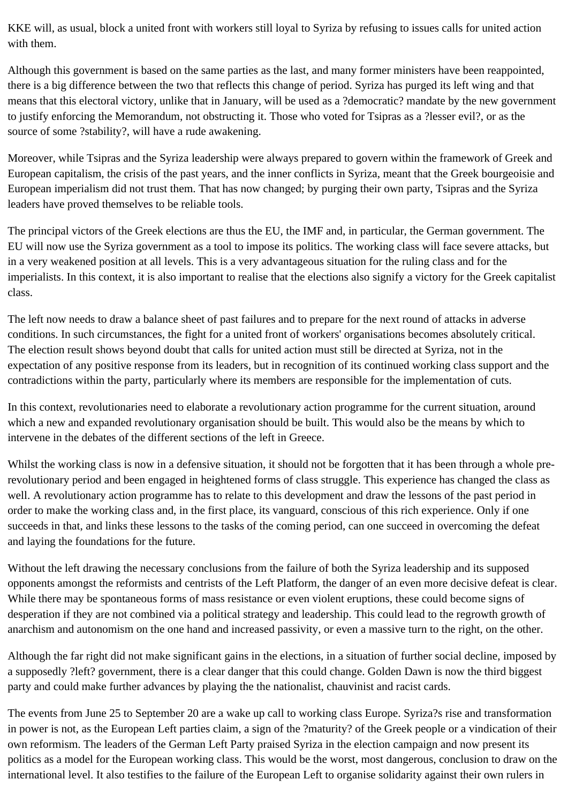KKE will, as usual, block a united front with workers still loyal to Syriza by refusing to issues calls for united action with them.

Although this government is based on the same parties as the last, and many former ministers have been reappointed, there is a big difference between the two that reflects this change of period. Syriza has purged its left wing and that means that this electoral victory, unlike that in January, will be used as a ?democratic? mandate by the new government to justify enforcing the Memorandum, not obstructing it. Those who voted for Tsipras as a ?lesser evil?, or as the source of some ?stability?, will have a rude awakening.

Moreover, while Tsipras and the Syriza leadership were always prepared to govern within the framework of Greek and European capitalism, the crisis of the past years, and the inner conflicts in Syriza, meant that the Greek bourgeoisie and European imperialism did not trust them. That has now changed; by purging their own party, Tsipras and the Syriza leaders have proved themselves to be reliable tools.

The principal victors of the Greek elections are thus the EU, the IMF and, in particular, the German government. The EU will now use the Syriza government as a tool to impose its politics. The working class will face severe attacks, but in a very weakened position at all levels. This is a very advantageous situation for the ruling class and for the imperialists. In this context, it is also important to realise that the elections also signify a victory for the Greek capitalist class.

The left now needs to draw a balance sheet of past failures and to prepare for the next round of attacks in adverse conditions. In such circumstances, the fight for a united front of workers' organisations becomes absolutely critical. The election result shows beyond doubt that calls for united action must still be directed at Syriza, not in the expectation of any positive response from its leaders, but in recognition of its continued working class support and the contradictions within the party, particularly where its members are responsible for the implementation of cuts.

In this context, revolutionaries need to elaborate a revolutionary action programme for the current situation, around which a new and expanded revolutionary organisation should be built. This would also be the means by which to intervene in the debates of the different sections of the left in Greece.

Whilst the working class is now in a defensive situation, it should not be forgotten that it has been through a whole prerevolutionary period and been engaged in heightened forms of class struggle. This experience has changed the class as well. A revolutionary action programme has to relate to this development and draw the lessons of the past period in order to make the working class and, in the first place, its vanguard, conscious of this rich experience. Only if one succeeds in that, and links these lessons to the tasks of the coming period, can one succeed in overcoming the defeat and laying the foundations for the future.

Without the left drawing the necessary conclusions from the failure of both the Syriza leadership and its supposed opponents amongst the reformists and centrists of the Left Platform, the danger of an even more decisive defeat is clear. While there may be spontaneous forms of mass resistance or even violent eruptions, these could become signs of desperation if they are not combined via a political strategy and leadership. This could lead to the regrowth growth of anarchism and autonomism on the one hand and increased passivity, or even a massive turn to the right, on the other.

Although the far right did not make significant gains in the elections, in a situation of further social decline, imposed by a supposedly ?left? government, there is a clear danger that this could change. Golden Dawn is now the third biggest party and could make further advances by playing the the nationalist, chauvinist and racist cards.

The events from June 25 to September 20 are a wake up call to working class Europe. Syriza?s rise and transformation in power is not, as the European Left parties claim, a sign of the ?maturity? of the Greek people or a vindication of their own reformism. The leaders of the German Left Party praised Syriza in the election campaign and now present its politics as a model for the European working class. This would be the worst, most dangerous, conclusion to draw on the international level. It also testifies to the failure of the European Left to organise solidarity against their own rulers in